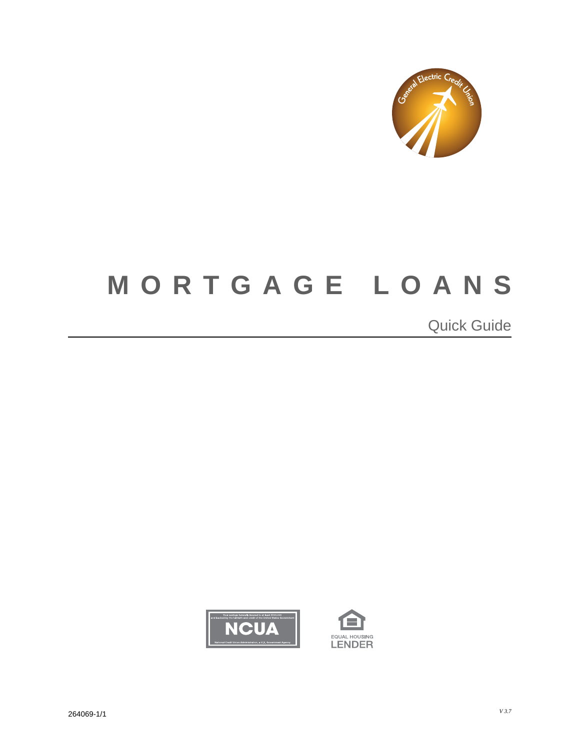

## **MORTGAGE LOANS**  $\overline{a}$

 $\overline{a}$  $\overline{a}$ Quick Guide



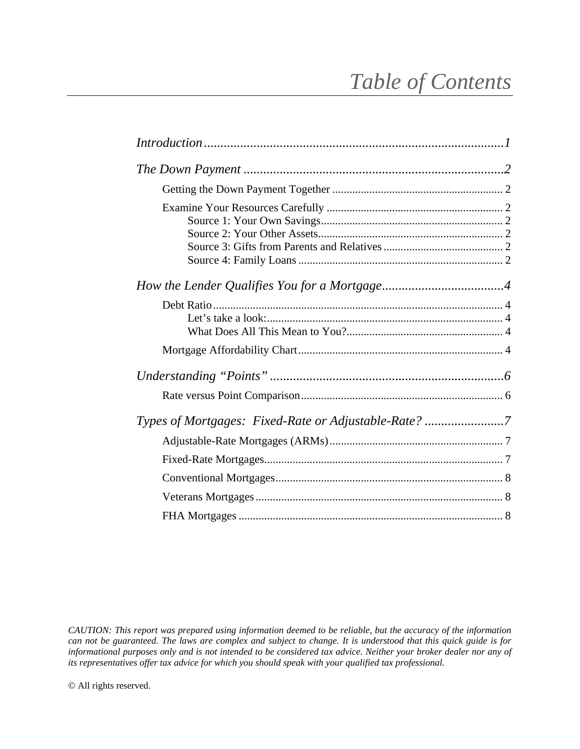## *Table of Contents*

| Types of Mortgages: Fixed-Rate or Adjustable-Rate? 7 |  |
|------------------------------------------------------|--|
|                                                      |  |
|                                                      |  |
|                                                      |  |
|                                                      |  |
|                                                      |  |

*CAUTION: This report was prepared using information deemed to be reliable, but the accuracy of the information can not be guaranteed. The laws are complex and subject to change. It is understood that this quick guide is for informational purposes only and is not intended to be considered tax advice. Neither your broker dealer nor any of its representatives offer tax advice for which you should speak with your qualified tax professional.*

© All rights reserved.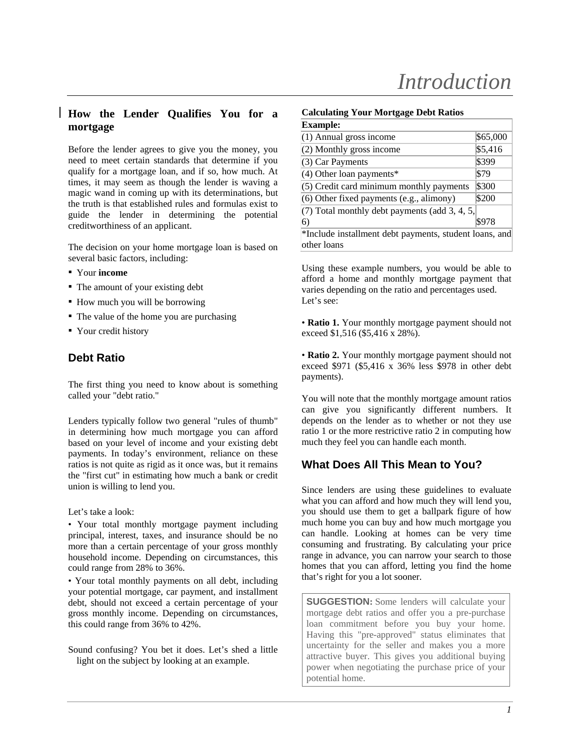## **How the Lender Qualifies You for a mortgage**

Before the lender agrees to give you the money, you need to meet certain standards that determine if you qualify for a mortgage loan, and if so, how much. At times, it may seem as though the lender is waving a magic wand in coming up with its determinations, but the truth is that established rules and formulas exist to guide the lender in determining the potential creditworthiness of an applicant.

The decision on your home mortgage loan is based on several basic factors, including:

- Your **income**
- The amount of your existing debt
- How much you will be borrowing
- The value of the home you are purchasing
- Your credit history

## **Debt Ratio**

The first thing you need to know about is something called your "debt ratio."

Lenders typically follow two general "rules of thumb" in determining how much mortgage you can afford based on your level of income and your existing debt payments. In today's environment, reliance on these ratios is not quite as rigid as it once was, but it remains the "first cut" in estimating how much a bank or credit union is willing to lend you.

Let's take a look:

• Your total monthly mortgage payment including principal, interest, taxes, and insurance should be no more than a certain percentage of your gross monthly household income. Depending on circumstances, this could range from 28% to 36%.

• Your total monthly payments on all debt, including your potential mortgage, car payment, and installment debt, should not exceed a certain percentage of your gross monthly income. Depending on circumstances, this could range from 36% to 42%.

Sound confusing? You bet it does. Let's shed a little light on the subject by looking at an example.

#### **Calculating Your Mortgage Debt Ratios**

| <b>Example:</b>                                                       |          |  |  |
|-----------------------------------------------------------------------|----------|--|--|
| $(1)$ Annual gross income                                             | \$65,000 |  |  |
| $(2)$ Monthly gross income                                            | \$5,416  |  |  |
| $(3)$ Car Payments                                                    | \$399    |  |  |
| $(4)$ Other loan payments*                                            | \$79     |  |  |
| $(5)$ Credit card minimum monthly payments                            | \$300    |  |  |
| $(6)$ Other fixed payments $(e.g.,$ alimony)                          | \$200    |  |  |
| $(7)$ Total monthly debt payments (add 3, 4, 5,                       |          |  |  |
| 6)                                                                    | \$978    |  |  |
| *Include installment debt payments, student loans, and<br>other loans |          |  |  |

Using these example numbers, you would be able to afford a home and monthly mortgage payment that varies depending on the ratio and percentages used. Let's see:

• **Ratio 1.** Your monthly mortgage payment should not exceed \$1,516 (\$5,416 x 28%).

• **Ratio 2.** Your monthly mortgage payment should not exceed \$971 (\$5,416 x 36% less \$978 in other debt payments).

You will note that the monthly mortgage amount ratios can give you significantly different numbers. It depends on the lender as to whether or not they use ratio 1 or the more restrictive ratio 2 in computing how much they feel you can handle each month.

## **What Does All This Mean to You?**

Since lenders are using these guidelines to evaluate what you can afford and how much they will lend you, you should use them to get a ballpark figure of how much home you can buy and how much mortgage you can handle. Looking at homes can be very time consuming and frustrating. By calculating your price range in advance, you can narrow your search to those homes that you can afford, letting you find the home that's right for you a lot sooner.

**SUGGESTION:** Some lenders will calculate your mortgage debt ratios and offer you a pre-purchase loan commitment before you buy your home. Having this "pre-approved" status eliminates that uncertainty for the seller and makes you a more attractive buyer. This gives you additional buying power when negotiating the purchase price of your potential home.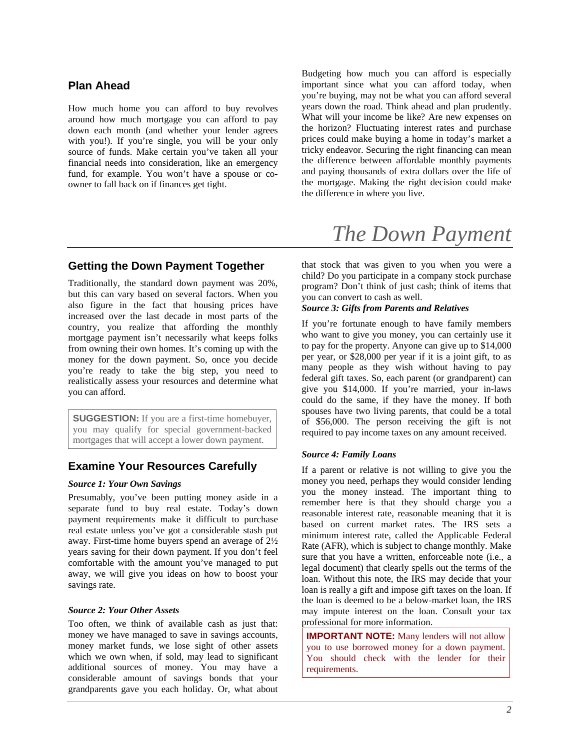## **Plan Ahead**

How much home you can afford to buy revolves around how much mortgage you can afford to pay down each month (and whether your lender agrees with you!). If you're single, you will be your only source of funds. Make certain you've taken all your financial needs into consideration, like an emergency fund, for example. You won't have a spouse or coowner to fall back on if finances get tight.

## **Getting the Down Payment Together**

Traditionally, the standard down payment was 20%, but this can vary based on several factors. When you also figure in the fact that housing prices have increased over the last decade in most parts of the country, you realize that affording the monthly mortgage payment isn't necessarily what keeps folks from owning their own homes. It's coming up with the money for the down payment. So, once you decide you're ready to take the big step, you need to realistically assess your resources and determine what you can afford.

**SUGGESTION:** If you are a first-time homebuyer, you may qualify for special government-backed mortgages that will accept a lower down payment.

## **Examine Your Resources Carefully**

#### *Source 1: Your Own Savings*

Presumably, you've been putting money aside in a separate fund to buy real estate. Today's down payment requirements make it difficult to purchase real estate unless you've got a considerable stash put away. First-time home buyers spend an average of 2½ years saving for their down payment. If you don't feel comfortable with the amount you've managed to put away, we will give you ideas on how to boost your savings rate.

#### *Source 2: Your Other Assets*

Too often, we think of available cash as just that: money we have managed to save in savings accounts, money market funds, we lose sight of other assets which we own when, if sold, may lead to significant additional sources of money. You may have a considerable amount of savings bonds that your grandparents gave you each holiday. Or, what about Budgeting how much you can afford is especially important since what you can afford today, when you're buying, may not be what you can afford several years down the road. Think ahead and plan prudently. What will your income be like? Are new expenses on the horizon? Fluctuating interest rates and purchase prices could make buying a home in today's market a tricky endeavor. Securing the right financing can mean the difference between affordable monthly payments and paying thousands of extra dollars over the life of the mortgage. Making the right decision could make the difference in where you live.

## *The Down Payment*

that stock that was given to you when you were a child? Do you participate in a company stock purchase program? Don't think of just cash; think of items that you can convert to cash as well.

#### *Source 3: Gifts from Parents and Relatives*

If you're fortunate enough to have family members who want to give you money, you can certainly use it to pay for the property. Anyone can give up to \$14,000 per year, or \$28,000 per year if it is a joint gift, to as many people as they wish without having to pay federal gift taxes. So, each parent (or grandparent) can give you \$14,000. If you're married, your in-laws could do the same, if they have the money. If both spouses have two living parents, that could be a total of \$56,000. The person receiving the gift is not required to pay income taxes on any amount received.

#### *Source 4: Family Loans*

If a parent or relative is not willing to give you the money you need, perhaps they would consider lending you the money instead. The important thing to remember here is that they should charge you a reasonable interest rate, reasonable meaning that it is based on current market rates. The IRS sets a minimum interest rate, called the Applicable Federal Rate (AFR), which is subject to change monthly. Make sure that you have a written, enforceable note (i.e., a legal document) that clearly spells out the terms of the loan. Without this note, the IRS may decide that your loan is really a gift and impose gift taxes on the loan. If the loan is deemed to be a below-market loan, the IRS may impute interest on the loan. Consult your tax professional for more information.

**IMPORTANT NOTE:** Many lenders will not allow you to use borrowed money for a down payment. You should check with the lender for their requirements.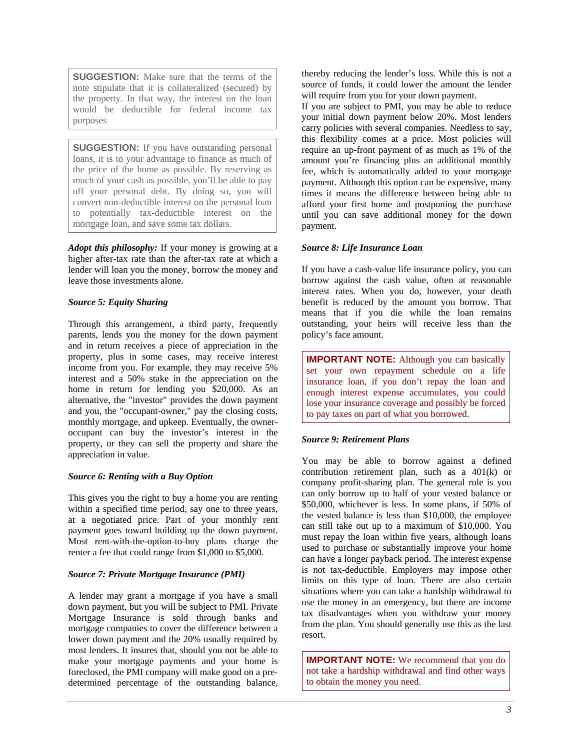**SUGGESTION:** Make sure that the terms of the note stipulate that it is collateralized (secured) by the property. In that way, the interest on the loan would be deductible for federal income tax purposes

**SUGGESTION:** If you have outstanding personal loans, it is to your advantage to finance as much of the price of the home as possible. By reserving as much of your cash as possible, you'll be able to pay off your personal debt. By doing so, you will convert non-deductible interest on the personal loan to potentially tax-deductible interest on the mortgage loan, and save some tax dollars.

*Adopt this philosophy:* If your money is growing at a higher after-tax rate than the after-tax rate at which a lender will loan you the money, borrow the money and leave those investments alone.

#### *Source 5: Equity Sharing*

Through this arrangement, a third party, frequently parents, lends you the money for the down payment and in return receives a piece of appreciation in the property, plus in some cases, may receive interest income from you. For example, they may receive 5% interest and a 50% stake in the appreciation on the home in return for lending you \$20,000. As an alternative, the "investor" provides the down payment and you, the "occupant-owner," pay the closing costs, monthly mortgage, and upkeep. Eventually, the owneroccupant can buy the investor's interest in the property, or they can sell the property and share the appreciation in value.

#### *Source 6: Renting with a Buy Option*

This gives you the right to buy a home you are renting within a specified time period, say one to three years, at a negotiated price. Part of your monthly rent payment goes toward building up the down payment. Most rent-with-the-option-to-buy plans charge the renter a fee that could range from \$1,000 to \$5,000.

#### *Source 7: Private Mortgage Insurance (PMI)*

A lender may grant a mortgage if you have a small down payment, but you will be subject to PMI. Private Mortgage Insurance is sold through banks and mortgage companies to cover the difference between a lower down payment and the 20% usually required by most lenders. It insures that, should you not be able to make your mortgage payments and your home is foreclosed, the PMI company will make good on a predetermined percentage of the outstanding balance,

thereby reducing the lender's loss. While this is not a source of funds, it could lower the amount the lender will require from you for your down payment.

If you are subject to PMI, you may be able to reduce your initial down payment below 20%. Most lenders carry policies with several companies. Needless to say, this flexibility comes at a price. Most policies will require an up-front payment of as much as 1% of the amount you're financing plus an additional monthly fee, which is automatically added to your mortgage payment. Although this option can be expensive, many times it means the difference between being able to afford your first home and postponing the purchase until you can save additional money for the down payment.

#### *Source 8: Life Insurance Loan*

If you have a cash-value life insurance policy, you can borrow against the cash value, often at reasonable interest rates. When you do, however, your death benefit is reduced by the amount you borrow. That means that if you die while the loan remains outstanding, your heirs will receive less than the policy's face amount.

**IMPORTANT NOTE:** Although you can basically set your own repayment schedule on a life insurance loan, if you don't repay the loan and enough interest expense accumulates, you could lose your insurance coverage and possibly be forced to pay taxes on part of what you borrowed.

#### *Source 9: Retirement Plans*

You may be able to borrow against a defined contribution retirement plan, such as a 401(k) or company profit-sharing plan. The general rule is you can only borrow up to half of your vested balance or \$50,000, whichever is less. In some plans, if 50% of the vested balance is less than \$10,000, the employee can still take out up to a maximum of \$10,000. You must repay the loan within five years, although loans used to purchase or substantially improve your home can have a longer payback period. The interest expense is not tax-deductible. Employers may impose other limits on this type of loan. There are also certain situations where you can take a hardship withdrawal to use the money in an emergency, but there are income tax disadvantages when you withdraw your money from the plan. You should generally use this as the last resort.

**IMPORTANT NOTE:** We recommend that you do not take a hardship withdrawal and find other ways to obtain the money you need.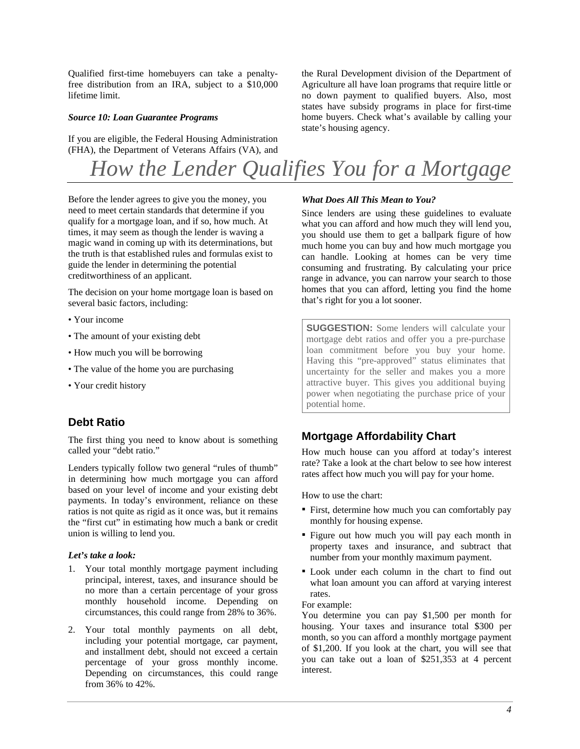Qualified first-time homebuyers can take a penaltyfree distribution from an IRA, subject to a \$10,000 lifetime limit.

#### *Source 10: Loan Guarantee Programs*

If you are eligible, the Federal Housing Administration (FHA), the Department of Veterans Affairs (VA), and the Rural Development division of the Department of Agriculture all have loan programs that require little or no down payment to qualified buyers. Also, most states have subsidy programs in place for first-time home buyers. Check what's available by calling your state's housing agency.

## *How the Lender Qualifies You for a Mortgage*

Before the lender agrees to give you the money, you need to meet certain standards that determine if you qualify for a mortgage loan, and if so, how much. At times, it may seem as though the lender is waving a magic wand in coming up with its determinations, but the truth is that established rules and formulas exist to guide the lender in determining the potential creditworthiness of an applicant.

The decision on your home mortgage loan is based on several basic factors, including:

- Your income
- The amount of your existing debt
- How much you will be borrowing
- The value of the home you are purchasing
- Your credit history

## **Debt Ratio**

The first thing you need to know about is something called your "debt ratio."

Lenders typically follow two general "rules of thumb" in determining how much mortgage you can afford based on your level of income and your existing debt payments. In today's environment, reliance on these ratios is not quite as rigid as it once was, but it remains the "first cut" in estimating how much a bank or credit union is willing to lend you.

#### *Let's take a look:*

- 1. Your total monthly mortgage payment including principal, interest, taxes, and insurance should be no more than a certain percentage of your gross monthly household income. Depending on circumstances, this could range from 28% to 36%.
- 2. Your total monthly payments on all debt, including your potential mortgage, car payment, and installment debt, should not exceed a certain percentage of your gross monthly income. Depending on circumstances, this could range from 36% to 42%.

#### *What Does All This Mean to You?*

Since lenders are using these guidelines to evaluate what you can afford and how much they will lend you, you should use them to get a ballpark figure of how much home you can buy and how much mortgage you can handle. Looking at homes can be very time consuming and frustrating. By calculating your price range in advance, you can narrow your search to those homes that you can afford, letting you find the home that's right for you a lot sooner.

**SUGGESTION:** Some lenders will calculate your mortgage debt ratios and offer you a pre-purchase loan commitment before you buy your home. Having this "pre-approved" status eliminates that uncertainty for the seller and makes you a more attractive buyer. This gives you additional buying power when negotiating the purchase price of your potential home.

## **Mortgage Affordability Chart**

How much house can you afford at today's interest rate? Take a look at the chart below to see how interest rates affect how much you will pay for your home.

How to use the chart:

- First, determine how much you can comfortably pay monthly for housing expense.
- Figure out how much you will pay each month in property taxes and insurance, and subtract that number from your monthly maximum payment.
- Look under each column in the chart to find out what loan amount you can afford at varying interest rates.

#### For example:

You determine you can pay \$1,500 per month for housing. Your taxes and insurance total \$300 per month, so you can afford a monthly mortgage payment of \$1,200. If you look at the chart, you will see that you can take out a loan of \$251,353 at 4 percent interest.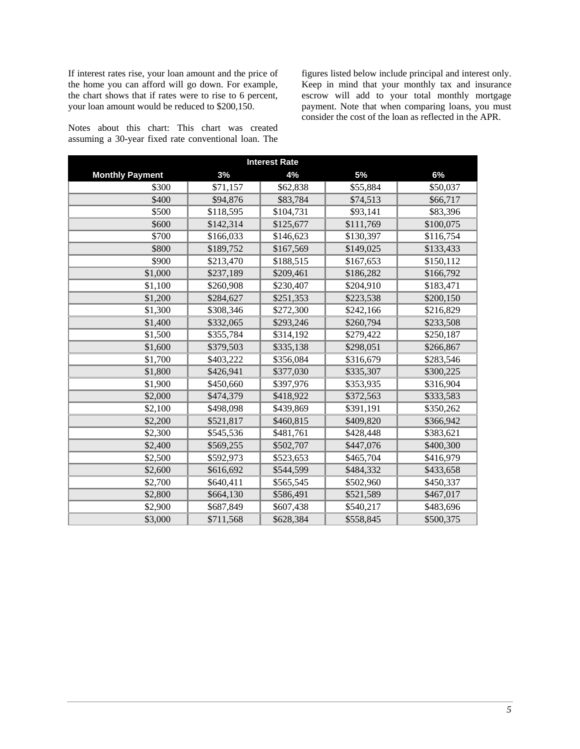If interest rates rise, your loan amount and the price of the home you can afford will go down. For example, the chart shows that if rates were to rise to 6 percent, your loan amount would be reduced to \$200,150.

Notes about this chart: This chart was created assuming a 30-year fixed rate conventional loan. The figures listed below include principal and interest only. Keep in mind that your monthly tax and insurance escrow will add to your total monthly mortgage payment. Note that when comparing loans, you must consider the cost of the loan as reflected in the APR.

| <b>Interest Rate</b>   |           |           |           |           |  |  |
|------------------------|-----------|-----------|-----------|-----------|--|--|
| <b>Monthly Payment</b> | 3%        | 4%        | 5%        | 6%        |  |  |
| \$300                  | \$71,157  | \$62,838  | \$55,884  | \$50,037  |  |  |
| \$400                  | \$94,876  | \$83,784  | \$74,513  | \$66,717  |  |  |
| \$500                  | \$118,595 | \$104,731 | \$93,141  | \$83,396  |  |  |
| \$600                  | \$142,314 | \$125,677 | \$111,769 | \$100,075 |  |  |
| \$700                  | \$166,033 | \$146,623 | \$130,397 | \$116,754 |  |  |
| \$800                  | \$189,752 | \$167,569 | \$149,025 | \$133,433 |  |  |
| \$900                  | \$213,470 | \$188,515 | \$167,653 | \$150,112 |  |  |
| \$1,000                | \$237,189 | \$209,461 | \$186,282 | \$166,792 |  |  |
| \$1,100                | \$260,908 | \$230,407 | \$204,910 | \$183,471 |  |  |
| \$1,200                | \$284,627 | \$251,353 | \$223,538 | \$200,150 |  |  |
| \$1,300                | \$308,346 | \$272,300 | \$242,166 | \$216,829 |  |  |
| \$1,400                | \$332,065 | \$293,246 | \$260,794 | \$233,508 |  |  |
| \$1,500                | \$355,784 | \$314,192 | \$279,422 | \$250,187 |  |  |
| \$1,600                | \$379,503 | \$335,138 | \$298,051 | \$266,867 |  |  |
| \$1,700                | \$403,222 | \$356,084 | \$316,679 | \$283,546 |  |  |
| \$1,800                | \$426,941 | \$377,030 | \$335,307 | \$300,225 |  |  |
| \$1,900                | \$450,660 | \$397,976 | \$353,935 | \$316,904 |  |  |
| \$2,000                | \$474,379 | \$418,922 | \$372,563 | \$333,583 |  |  |
| \$2,100                | \$498,098 | \$439,869 | \$391,191 | \$350,262 |  |  |
| \$2,200                | \$521,817 | \$460,815 | \$409,820 | \$366,942 |  |  |
| \$2,300                | \$545,536 | \$481,761 | \$428,448 | \$383,621 |  |  |
| \$2,400                | \$569,255 | \$502,707 | \$447,076 | \$400,300 |  |  |
| \$2,500                | \$592,973 | \$523,653 | \$465,704 | \$416,979 |  |  |
| \$2,600                | \$616,692 | \$544,599 | \$484,332 | \$433,658 |  |  |
| \$2,700                | \$640,411 | \$565,545 | \$502,960 | \$450,337 |  |  |
| \$2,800                | \$664,130 | \$586,491 | \$521,589 | \$467,017 |  |  |
| \$2,900                | \$687,849 | \$607,438 | \$540,217 | \$483,696 |  |  |
| \$3,000                | \$711,568 | \$628,384 | \$558,845 | \$500,375 |  |  |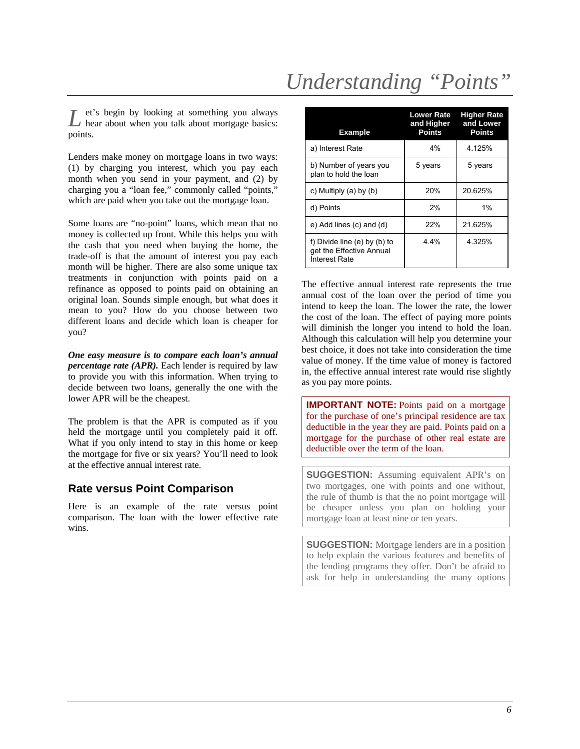# *Understanding "Points"*

et's begin by looking at something you always L et's begin by looking at something you always hear about when you talk about mortgage basics: points.

Lenders make money on mortgage loans in two ways: (1) by charging you interest, which you pay each month when you send in your payment, and (2) by charging you a "loan fee," commonly called "points," which are paid when you take out the mortgage loan.

Some loans are "no-point" loans, which mean that no money is collected up front. While this helps you with the cash that you need when buying the home, the trade-off is that the amount of interest you pay each month will be higher. There are also some unique tax treatments in conjunction with points paid on a refinance as opposed to points paid on obtaining an original loan. Sounds simple enough, but what does it mean to you? How do you choose between two different loans and decide which loan is cheaper for you?

*One easy measure is to compare each loan's annual percentage rate (APR)*. Each lender is required by law to provide you with this information. When trying to decide between two loans, generally the one with the lower APR will be the cheapest.

The problem is that the APR is computed as if you held the mortgage until you completely paid it off. What if you only intend to stay in this home or keep the mortgage for five or six years? You'll need to look at the effective annual interest rate.

## **Rate versus Point Comparison**

Here is an example of the rate versus point comparison. The loan with the lower effective rate wins.

| <b>Example</b>                                                            | <b>Lower Rate</b><br>and Higher<br><b>Points</b> | <b>Higher Rate</b><br>and Lower<br><b>Points</b> |
|---------------------------------------------------------------------------|--------------------------------------------------|--------------------------------------------------|
| a) Interest Rate                                                          | 4%                                               | 4 125%                                           |
| b) Number of years you<br>plan to hold the loan                           | 5 years                                          | 5 years                                          |
| c) Multiply $(a)$ by $(b)$                                                | 20%                                              | 20.625%                                          |
| d) Points                                                                 | 2%                                               | 1%                                               |
| e) Add lines (c) and (d)                                                  | 22%                                              | 21.625%                                          |
| f) Divide line (e) by (b) to<br>get the Effective Annual<br>Interest Rate | 4.4%                                             | 4.325%                                           |

The effective annual interest rate represents the true annual cost of the loan over the period of time you intend to keep the loan. The lower the rate, the lower the cost of the loan. The effect of paying more points will diminish the longer you intend to hold the loan. Although this calculation will help you determine your best choice, it does not take into consideration the time value of money. If the time value of money is factored in, the effective annual interest rate would rise slightly as you pay more points.

**IMPORTANT NOTE:** Points paid on a mortgage for the purchase of one's principal residence are tax deductible in the year they are paid. Points paid on a mortgage for the purchase of other real estate are deductible over the term of the loan.

**SUGGESTION:** Assuming equivalent APR's on two mortgages, one with points and one without, the rule of thumb is that the no point mortgage will be cheaper unless you plan on holding your mortgage loan at least nine or ten years.

**SUGGESTION:** Mortgage lenders are in a position to help explain the various features and benefits of the lending programs they offer. Don't be afraid to ask for help in understanding the many options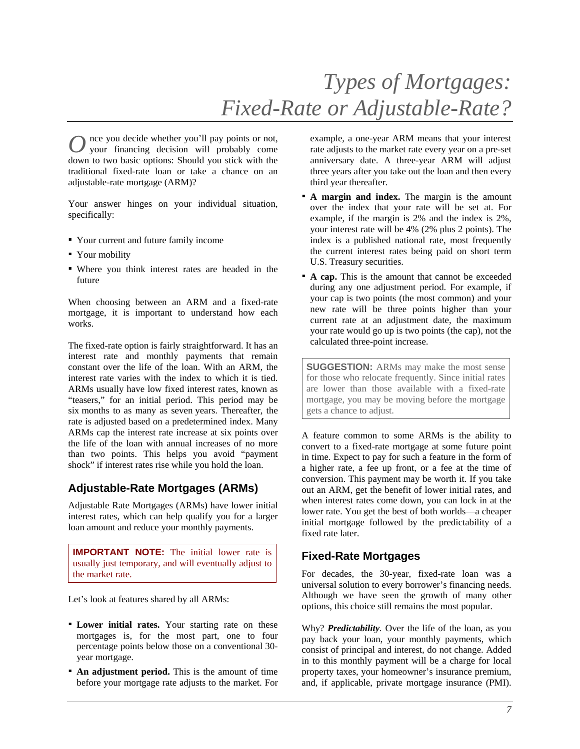nce you decide whether you'll pay points or not, your financing decision will probably come down to two basic options: Should you stick with the traditional fixed-rate loan or take a chance on an adjustable-rate mortgage (ARM)?  $O<sub>1</sub>$ 

Your answer hinges on your individual situation, specifically:

- Your current and future family income
- Your mobility
- Where you think interest rates are headed in the future

When choosing between an ARM and a fixed-rate mortgage, it is important to understand how each works.

The fixed-rate option is fairly straightforward. It has an interest rate and monthly payments that remain constant over the life of the loan. With an ARM, the interest rate varies with the index to which it is tied. ARMs usually have low fixed interest rates, known as "teasers," for an initial period. This period may be six months to as many as seven years. Thereafter, the rate is adjusted based on a predetermined index. Many ARMs cap the interest rate increase at six points over the life of the loan with annual increases of no more than two points. This helps you avoid "payment shock" if interest rates rise while you hold the loan.

## **Adjustable-Rate Mortgages (ARMs)**

Adjustable Rate Mortgages (ARMs) have lower initial interest rates, which can help qualify you for a larger loan amount and reduce your monthly payments.

**IMPORTANT NOTE:** The initial lower rate is usually just temporary, and will eventually adjust to the market rate.

Let's look at features shared by all ARMs:

- **Lower initial rates.** Your starting rate on these mortgages is, for the most part, one to four percentage points below those on a conventional 30 year mortgage.
- **An adjustment period.** This is the amount of time before your mortgage rate adjusts to the market. For

example, a one-year ARM means that your interest rate adjusts to the market rate every year on a pre-set anniversary date. A three-year ARM will adjust three years after you take out the loan and then every third year thereafter.

- **A margin and index.** The margin is the amount over the index that your rate will be set at. For example, if the margin is 2% and the index is 2%, your interest rate will be 4% (2% plus 2 points). The index is a published national rate, most frequently the current interest rates being paid on short term U.S. Treasury securities.
- **A cap.** This is the amount that cannot be exceeded during any one adjustment period. For example, if your cap is two points (the most common) and your new rate will be three points higher than your current rate at an adjustment date, the maximum your rate would go up is two points (the cap), not the calculated three-point increase.

**SUGGESTION:** ARMs may make the most sense for those who relocate frequently. Since initial rates are lower than those available with a fixed-rate mortgage, you may be moving before the mortgage gets a chance to adjust.

A feature common to some ARMs is the ability to convert to a fixed-rate mortgage at some future point in time. Expect to pay for such a feature in the form of a higher rate, a fee up front, or a fee at the time of conversion. This payment may be worth it. If you take out an ARM, get the benefit of lower initial rates, and when interest rates come down, you can lock in at the lower rate. You get the best of both worlds—a cheaper initial mortgage followed by the predictability of a fixed rate later.

## **Fixed-Rate Mortgages**

For decades, the 30-year, fixed-rate loan was a universal solution to every borrower's financing needs. Although we have seen the growth of many other options, this choice still remains the most popular.

Why? *Predictability.* Over the life of the loan, as you pay back your loan, your monthly payments, which consist of principal and interest, do not change. Added in to this monthly payment will be a charge for local property taxes, your homeowner's insurance premium, and, if applicable, private mortgage insurance (PMI).